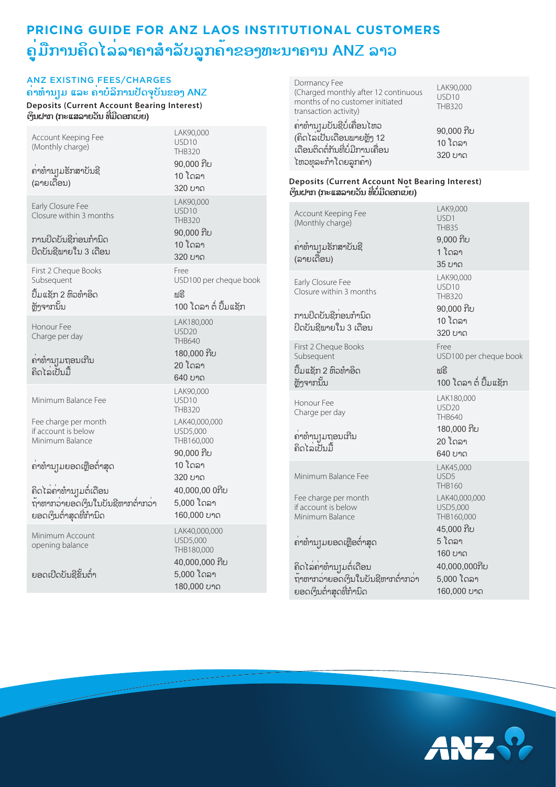### ANZ EXISTING FEES/CHARGES **ຄ່າທໍານຽມ ແລະ ຄ່າບໍລິການປັດຈຸບັນຂອງ ANZ**

**Deposits (Current Account Bearing Interest) ເງິນຝາກ (ກະແສລາຍວັນ ທີ່ມີດອກເບ້ຍ)**

| Account Keeping Fee<br>(Monthly charge)<br>ຄາທຳນຸງມຮັກສາບັນຊີ<br>(ລາຍເດືອນ)                                                                                                                                                         | LAK90,000<br>USD <sub>10</sub><br>THB320<br>90,000 ກີບ<br>10 ໂດລາ<br>320 ບາດ                                                                                                  |
|-------------------------------------------------------------------------------------------------------------------------------------------------------------------------------------------------------------------------------------|-------------------------------------------------------------------------------------------------------------------------------------------------------------------------------|
| Early Closure Fee<br>Closure within 3 months<br>ການປິດບັນຊີກ່ອນກຳນິດ<br>ປິດບັນຊີພາຍໃນ 3 ເດືອນ                                                                                                                                       | LAK90,000<br>USD <sub>10</sub><br>THB320<br>90,000 ກີບ<br>10 ໂດລາ<br>320 ບາດ                                                                                                  |
| First 2 Cheque Books<br>Subsequent<br>ປຶ້ມແຊັກ 2 ຫິວທຳອິດ<br>ຫຼັງຈາກນັ້ນ                                                                                                                                                            | Free<br>USD100 per cheque book<br>າເຣີ<br>100 ໂດລາ ຕໍ່ ປຶ້ມແຊັກ                                                                                                               |
| Honour Fee<br>Charge per day<br>ຄາທຳນຸງມຖອນເກີນ<br>ຄິດໄລ່ເປັນມື້                                                                                                                                                                    | LAK180,000<br><b>USD20</b><br><b>THB640</b><br>180,000 ກີບ<br>20 ໂດລາ<br>640 ບາດ                                                                                              |
| Minimum Balance Fee<br>Fee charge per month<br>if account is below<br>Minimum Balance<br>ຄ່າທຳນ $_{\rm J}$ ນຍອດເຫຼືອຕ່ຳສຸດ<br>ຄິດໄລ່ຄ <sup>່</sup> າທຳນຸງມຕໍ່ເດືອນ<br>ຖ້າຫາກວ່າຍອດເງິນໃນບັນຊີຫາກຕໍ່າກວ່າ<br>ຍອດເງິນຕໍ່າສຸດທີ່ກໍານິດ | LAK90,000<br>USD <sub>10</sub><br><b>THB320</b><br>LAK40,000,000<br>USD5,000<br>THB160,000<br>90,000 ກີບ<br>10 ໂດລາ<br>320 ບາດ<br>40,000,00 0ກີບ<br>5,000 ໂດລາ<br>160,000 ບາດ |
| Minimum Account<br>opening balance<br>ຍອດເປີດບັນຊີຂັ້ນຕໍ່າ                                                                                                                                                                          | LAK40,000,000<br>USD5,000<br>THB180,000<br>40,000,000 ກີບ<br>5,000 ໂດລາ<br>180,000 ບາດ                                                                                        |

| Dormancy Fee<br>(Charged monthly after 12 continuous<br>months of no customer initiated<br>transaction activity)       | LAK90,000<br>USD <sub>10</sub><br><b>THB320</b> |
|------------------------------------------------------------------------------------------------------------------------|-------------------------------------------------|
| ຄ່າທຳນຸງມບັນຊີບໍ່ເຄື່ອນໄຫວ<br>(ຄິດໄລເປັນເດືອນພາຍຫຼັງ 12<br>.<br>ເດືອນຕິດຕໍ່ກັນທີ່ບໍ່ມີການເຄື່ອນ<br>ໄຫວທຸລະກຳໂດຍລູກຄ້າ) | 90,000 ກີບ<br>10 ໂດລາ<br>320 ບາດ                |

#### **Deposits (Current Account Not Bearing Interest) ເງິນຝາກ (ກະແສລາຍວັນ ທີ່ບໍ່ມີດອກເບ້ຍ)**

| Account Keeping Fee<br>(Monthly charge)<br>ຄາທຳນຸງມຮັກສາບັນຊີ<br>(ລາຍເດືອນ)                                                                                                                                              | LAK9,000<br>USD1<br><b>THB35</b><br>$9,000$ ກີບ<br>1 ໂດລາ<br>35 ບາດ                                                                                                 |
|--------------------------------------------------------------------------------------------------------------------------------------------------------------------------------------------------------------------------|---------------------------------------------------------------------------------------------------------------------------------------------------------------------|
| Early Closure Fee<br>Closure within 3 months<br>ການປິດບັນຊີກ່ອນກຳນິດ<br>ປິດບັນຊີພາຍໃນ 3 ເດືອນ                                                                                                                            | LAK90,000<br>USD <sub>10</sub><br>THB320<br>90,000 ກີບ<br>10 ໂດລາ<br>320 ບາດ                                                                                        |
| First 2 Cheque Books<br>Subsequent<br>ປຶ້ມແຊັກ 2 ຫິວທຳອິດ<br>ทัุกจาภบั้ม                                                                                                                                                 | Free<br>USD100 per cheque book<br>ຟຣີ<br>100 ໂດລາ ຕໍ່ ປື້ມແຊັກ                                                                                                      |
| Honour Fee<br>Charge per day<br>ຄາທໍານຸງມຖອນເກີນ<br>ຄິດໄລ່ເປັນນີ້                                                                                                                                                        | LAK180,000<br><b>USD20</b><br>THB640<br>180,000 ກີບ<br>20 ໂດລາ<br>640 ບາດ                                                                                           |
| Minimum Balance Fee<br>Fee charge per month<br>if account is below<br>Minimum Balance<br>ຄ່າທຳນຸງມຍອດເຫຼືອຕ່ຳສຸດ<br>ຄິດໄລ່ຄ <sup>່</sup> າທຳນຸງມຕໍ່ເດືອນ<br>ຖ້າຫາກວ່າຍອດເງິນໃນບັນຊີຫາກຕ່ຳກວ່າ<br>ຍອດເງິນຕໍ່າສຸດທີ່ກໍານິດ | LAK45,000<br>USD <sub>5</sub><br>THB160<br>LAK40,000,000<br>USD5,000<br>THB160,000<br>45,000 ກີບ<br>5 ໂດລາ<br>160 ບາດ<br>40,000,000ກີບ<br>5,000 ໂດລາ<br>160,000 ບາດ |

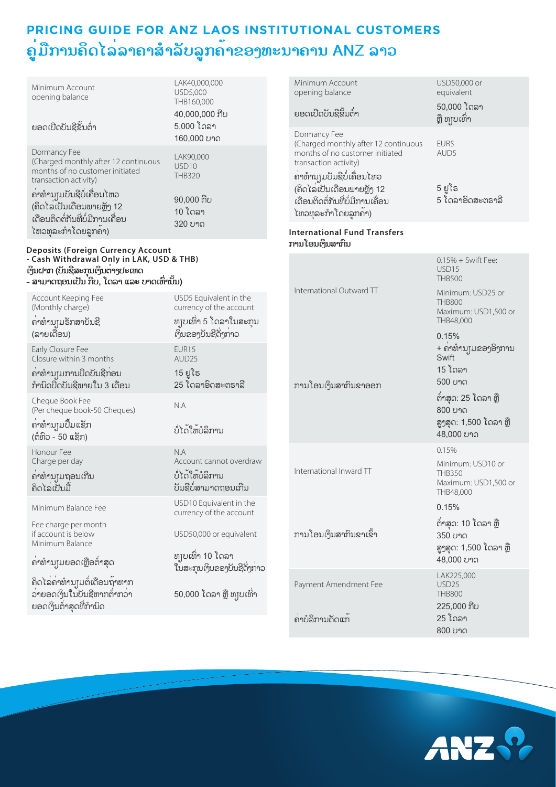| Minimum Account<br>opening balance                                                                                                                                        | LAK40,000,000<br>USD5,000<br>THB160,000<br>40,000,000 ກີບ |                                                        | Minimum Account<br>opening balance<br>ຍອດເປີດບັນຊີຂັ້ນຕໍ່າ                             | USD50,000 or<br>equivalent<br>50,000 ໂດລາ<br>ຼືຫຼື ທຸງບເທົ່າ    |
|---------------------------------------------------------------------------------------------------------------------------------------------------------------------------|-----------------------------------------------------------|--------------------------------------------------------|----------------------------------------------------------------------------------------|-----------------------------------------------------------------|
| ຍອດເປີດບັນຊີຂັ້ນຕໍ່າ                                                                                                                                                      | 5,000 ໂດລາ<br>160,000 ບາດ                                 |                                                        | Dormancy Fee<br>(Charged monthly after 12 continuous                                   | EUR5                                                            |
| Dormancy Fee<br>(Charged monthly after 12 continuous<br>months of no customer initiated<br>transaction activity)                                                          | LAK90,000<br>USD10<br><b>THB320</b>                       |                                                        | months of no customer initiated<br>transaction activity)<br>ຄ່າທຳນຸງມບັນຊີບໍ່ເຄື່ອນໄຫວ | AUD5                                                            |
| ຄ່າທຳນຸງມບັນຊີບໍ່ເຄື່ອນໄຫວ<br>(ຄິດໄລເປັນເດືອນພາຍຫຼັງ 12<br>ເດືອນຕິດຕໍ່ກັນທີ່ບໍ່ມີການເຄື່ອນ                                                                                | $90,000$ ກີບ<br>10 ໂດລາ<br>320 ບາດ                        |                                                        | (ຄິດໄລເປັນເດືອນພາຍຫຼັງ 12<br>ເດືອນຕິດຕໍ່ກັນທີ່ບໍ່ມີການເຄື່ອນ<br>ໄຫວທຸລະກຳໂດຍລູກຄາ)     | 5 ຢູໂຣ<br>5 ໂດລາອິດສະຕຣາລີ                                      |
| ໄຫວທຸລະກຳໂດຍລູກຄ້າ)                                                                                                                                                       |                                                           | <b>International Fund Transfers</b><br>ການໂອນເງິນສາກິນ |                                                                                        |                                                                 |
| <b>Deposits (Foreign Currency Account</b><br>Cash Withdrawal Only in LAK, USD & THB)<br>ເງິນຝາກ (ບັນຊີສະກຸນເງິນຕ່າງປະເທດ<br>_<br>ສາມາດຖອນເປັນ ກີບ, ໂດລາ ແລະ ບາດເທົ່ານັ້ນ) |                                                           |                                                        |                                                                                        | $0.15% +$ Swift Fee:<br>USD <sub>15</sub><br><b>THB500</b>      |
| Account Keeping Fee<br>(Monthly charge)                                                                                                                                   | USD5 Equivalent in the<br>currency of the account         |                                                        | International Outward TT                                                               | Minimum: USD25 or<br><b>THB800</b><br>Maximum: USD1,500 or      |
| ຄາທຳນຸງມຮັກສາບັນຊີ<br>(ລາຍເດືອນ)                                                                                                                                          | ທງບເທົ່າ 5 ໂດລາໃນສະກຸນ<br>ເງິນຂອງບັນຊີດັ່ງກ່າວ            |                                                        |                                                                                        | THB48,000<br>0.15%                                              |
| Early Closure Fee<br>Closure within 3 months                                                                                                                              | EUR <sub>15</sub><br>AUD25                                |                                                        |                                                                                        | + ຄາທໍານຸງມຂອງອິງການ<br>Swift                                   |
| ຄາທຳນ $\mu$ ການປິດບັນຊີກ່ອນ<br>ກຳນິດປິດບັນຊີພາຍໃນ 3 ເດືອນ                                                                                                                 | 15 ຢູໂຣ<br>25 ໂດລາອິດສະຕຣາລີ                              |                                                        | ການໂອນເງິນສາກິນຂາອອກ                                                                   | 15 ໂດລາ<br>500 ບາດ                                              |
| Cheque Book Fee<br>(Per cheque book-50 Cheques)                                                                                                                           | N.A                                                       |                                                        |                                                                                        | ຕໍ່າສຸດ: 25 ໂດລາ ຫຼື<br>800 ບາດ                                 |
| ຄາທຳນຸງມປຶ້ມແຊັກ<br>(ຕໍ່ຫິວ - 50 ແຊັກ)                                                                                                                                    | ບໍ່ໄດ້ໃຫ້ບໍລິການ                                          |                                                        |                                                                                        | ສູງສຸດ: 1,500 ໂດລາ ຫຼື<br>48,000 บาด                            |
| Honour Fee<br>Charge per day                                                                                                                                              | N.A<br>Account cannot overdraw                            |                                                        |                                                                                        | 0.15%<br>Minimum: USD10 or                                      |
| ຄາທຳນຸງມຖອນເກີນ<br>ຄິດໄລ່ເປັນມື້                                                                                                                                          | ບໍ່ໄດ້ໃຫ້ບໍລິການ<br>ບັນຊີບໍ່ສາມາດຖອນເກີນ                  |                                                        | International Inward TT                                                                | <b>THB350</b><br>Maximum: USD1,500 or<br>THB48,000              |
| Minimum Balance Fee                                                                                                                                                       | USD10 Equivalent in the<br>currency of the account        |                                                        |                                                                                        | 0.15%                                                           |
| Fee charge per month<br>if account is below<br>Minimum Balance                                                                                                            | USD50,000 or equivalent                                   |                                                        | ການໂອນເງິນສາກິນຂາເຂົ້າ                                                                 | ຕໍ່າສຸດ: 10 ໂດລາ ຫຼື<br>350 ບາດ<br>ສູງສຸດ: 1,500 ໂດລາ ຫຼື       |
| ຄ່າທຳນຸງມຍອດເຫຼືອຕ່ຳສຸດ                                                                                                                                                   | ທງບເທົ່າ 10 ໂດລາ<br>ໃນສະກຸນເງິນຂອງບັນຊີດັ່ງກ່າວ           |                                                        |                                                                                        | 48,000 ບາດ                                                      |
| ຄິດໄລ່ຄ່າທຳນຸງມຕໍ່ເດືອນຖ້າຫາກ<br>ວ່າຍອດເງິນໃນປັນຊີຫາກຕໍ່າກວ່າ<br>ຍອດເງິນຕໍ່າສຸດທີ່ກໍານິດ                                                                                  | 50,000 ໂດລາ ຫຼື ທຸງບເທົ່າ                                 |                                                        | Payment Amendment Fee                                                                  | LAK225,000<br>USD <sub>25</sub><br><b>THB800</b><br>225,000 ກີບ |
|                                                                                                                                                                           |                                                           |                                                        | ຄ່າບໍລິການດັດແກ້                                                                       | 25 ໂດລາ                                                         |



800 ບາດ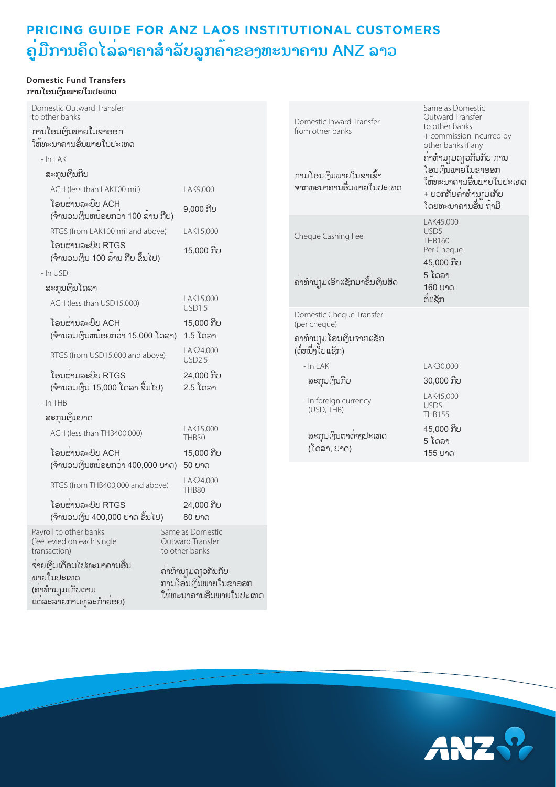#### **Domestic Fund Transfers ການໂອນເງິນພາຍໃນປະເທດ**

| Domestic Outward Transfer<br>to other banks                                         |                                                                       | Domestic Inward Transfer      |
|-------------------------------------------------------------------------------------|-----------------------------------------------------------------------|-------------------------------|
| ການໂອນເງິນພາຍໃນຂາອອກ<br>ໃຫ້ທະນາຄານອື່ນພາຍໃນປະເທດ                                    |                                                                       | from other banks              |
| $-$ In LAK                                                                          |                                                                       |                               |
| ສະກຸນເງິນກີບ                                                                        |                                                                       | ການໂອນເງິນພາຍໃນຂາເຂົ້າ        |
| ACH (less than LAK100 mil)                                                          | LAK9,000                                                              | ຈາກທະນາຄານອື່ນພາຍໃນປະເທດ      |
| ໂອນຜ່ານລະບິບ ACH<br>(ຈຳນວນເງິນຫນ້ອຍກວ່າ 100 ລ້ານ ກີບ)                               | $9,000$ ກີບ                                                           |                               |
| RTGS (from LAK100 mil and above)                                                    | LAK15,000                                                             | Cheque Cashing Fee            |
| ໂອນຜ່ານລະບົບ RTGS<br>(ຈຳນວນເງິນ 100 ລານ ກີບ ຂຶ້ນໄປ)                                 | 15,000 ກີບ                                                            |                               |
| - In USD                                                                            |                                                                       |                               |
| ສະກຸນເງິນໂດລາ                                                                       |                                                                       | ຄາທຳນຸງມເອົາແຊັກມາຂຶ້ນເງິນສິດ |
| ACH (less than USD15,000)                                                           | LAK15,000<br><b>USD1.5</b>                                            | Domestic Cheque Transfer      |
| ໂອນຜ່ານລະບົບ ACH                                                                    | 15,000 ກີບ                                                            | (per cheque)                  |
| (ຈຳນວນເງິນຫນ້ອຍກວ່າ 15,000 ໂດລາ)                                                    | 1.5 ໂດລາ                                                              | ຄາທໍານ]ມໂອນເງິນຈາກແຊັກ        |
| RTGS (from USD15,000 and above)                                                     | LAK24,000<br><b>USD2.5</b>                                            | (ຕໍ່ຫນຶ່ງໃບແຊັກ)<br>- In LAK  |
| ໂອນຜ່ານລະບົບ RTGS<br>(ຈຳນວນເງິນ 15,000 ໂດລາ ຂຶ້ນໄປ)                                 | 24,000 ກີບ<br>2.5 ໂດລາ                                                | ສະກຸນເງິນກີບ                  |
| $-$ In THB                                                                          |                                                                       | - In foreign currency         |
| ສະກຸນເງິນບາດ                                                                        |                                                                       | (USD, THB)                    |
| ACH (less than THB400,000)                                                          | LAK15,000<br>THB50                                                    | ສະກຸນເງິນຕາຕ່າງປະເທດ          |
| ໂອນຜ່ານລະບິບ ACH                                                                    | 15,000 ກີບ                                                            | (ໂດລາ, ບາດ)                   |
| (ຈໍານວນເງິນຫນອຍກວ່າ 400,000 ບາດ)                                                    | 50 ບາດ                                                                |                               |
| RTGS (from THB400,000 and above)                                                    | LAK24,000<br><b>THB80</b>                                             |                               |
| ໂອນຜ່ານລະບົບ RTGS                                                                   | 24,000 ກີບ                                                            |                               |
| (ຈຳນວນເງິນ 400,000 ບາດ ຂຶ້ນໄປ)                                                      | 80 ບາດ                                                                |                               |
| Payroll to other banks<br>(fee levied on each single<br>transaction)                | Same as Domestic<br>Outward Transfer<br>to other banks                |                               |
| ຈາຍເງິນເດືອນໄປທະນາຄານອື່ນ<br>ພາຍໃນປະເທດ<br>(ຄາທຳນຸງມເກັບຕາມ<br>ແຕລະລາຍການທຸລະກຳຍອຍ) | ຄາທຳນຸງມດງວກັນກັບ<br>ການໂອນເງິນພາຍໃນຂາອອກ<br>ໃຫ້ທະນາຄານອື່ນພາຍໃນປະເທດ |                               |



LAK30,000

LAK45,000 USD5 THB160 Per Cheque 45,000 ກີບ 5 ໂດລາ 160 ບາດ ຕໍ່ແຊັກ

Same as Domestic Outward Transfer to other banks

+ commission incurred by other banks if any ຄ່າທໍານຽມດຽວກັນກັບ ການ ໂອນເງິນພາຍໃນຂາອອກ ໃຫ້ທະນາຄານອື່ນພາຍໃນປະເທດ + ບວກກັບຄ່າທໍານງມເກັບ ໂດຍທະນາຄານອື່ນ ຖ້າມີ

LAK45,000 USD<sub>5</sub> THB155

30,000 ກີບ

45,000 ກີບ 5 ໂດລາ 155 ບາດ